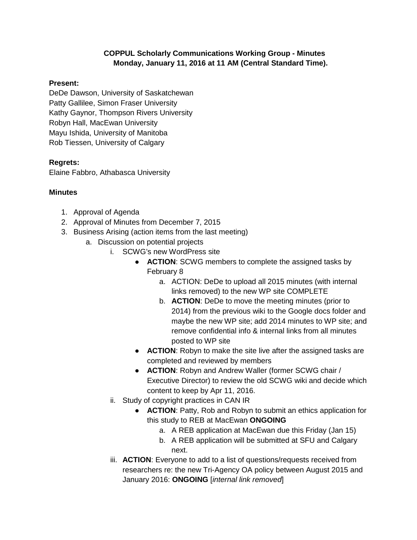## **COPPUL Scholarly Communications Working Group - Minutes Monday, January 11, 2016 at 11 AM (Central Standard Time).**

## **Present:**

DeDe Dawson, University of Saskatchewan Patty Gallilee, Simon Fraser University Kathy Gaynor, Thompson Rivers University Robyn Hall, MacEwan University Mayu Ishida, University of Manitoba Rob Tiessen, University of Calgary

## **Regrets:**

Elaine Fabbro, Athabasca University

## **Minutes**

- 1. Approval of Agenda
- 2. Approval of Minutes from December 7, 2015
- 3. Business Arising (action items from the last meeting)
	- a. Discussion on potential projects
		- i. SCWG's new WordPress site
			- **ACTION**: SCWG members to complete the assigned tasks by February 8
				- a. ACTION: DeDe to upload all 2015 minutes (with internal links removed) to the new WP site COMPLETE
				- b. **ACTION**: DeDe to move the meeting minutes (prior to 2014) from the previous wiki to the Google docs folder and maybe the new WP site; add 2014 minutes to WP site; and remove confidential info & internal links from all minutes posted to WP site
			- **ACTION:** Robyn to make the site live after the assigned tasks are completed and reviewed by members
			- **ACTION**: Robyn and Andrew Waller (former SCWG chair / Executive Director) to review the old SCWG wiki and decide which content to keep by Apr 11, 2016.
		- ii. Study of copyright practices in CAN IR
			- **ACTION:** Patty, Rob and Robyn to submit an ethics application for this study to REB at MacEwan **ONGOING**
				- a. A REB application at MacEwan due this Friday (Jan 15)
				- b. A REB application will be submitted at SFU and Calgary next.
		- iii. **ACTION**: Everyone to add to a list of questions/requests received from researchers re: the new Tri-Agency OA policy between August 2015 and January 2016: **ONGOING** [\[](https://docs.google.com/document/d/1TojAm-RA4fGETSlzYELmIyqJ3flr_-kAiq14oapk5Xo/edit)*internal link removed*]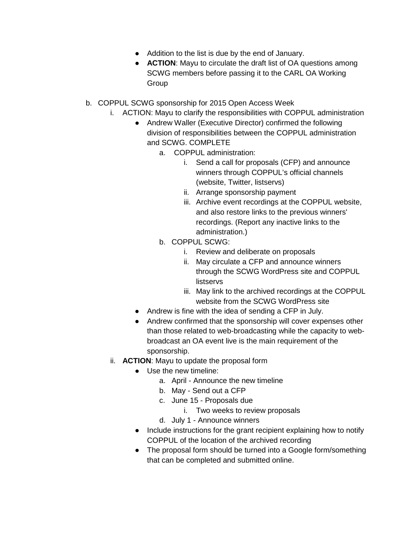- Addition to the list is due by the end of January.
- **ACTION**: Mayu to circulate the draft list of OA questions among SCWG members before passing it to the CARL OA Working Group
- b. COPPUL SCWG sponsorship for 2015 Open Access Week
	- i. ACTION: Mayu to clarify the responsibilities with COPPUL administration
		- Andrew Waller (Executive Director) confirmed the following division of responsibilities between the COPPUL administration and SCWG. COMPLETE
			- a. COPPUL administration:
				- i. Send a call for proposals (CFP) and announce winners through COPPUL's official channels (website, Twitter, listservs)
				- ii. Arrange sponsorship payment
				- iii. Archive event recordings at the COPPUL website, and also restore links to the previous winners' recordings. (Report any inactive links to the administration.)
			- b. COPPUL SCWG:
				- i. Review and deliberate on proposals
				- ii. May circulate a CFP and announce winners through the SCWG WordPress site and COPPUL listservs
				- iii. May link to the archived recordings at the COPPUL website from the SCWG WordPress site
		- Andrew is fine with the idea of sending a CFP in July.
		- Andrew confirmed that the sponsorship will cover expenses other than those related to web-broadcasting while the capacity to webbroadcast an OA event live is the main requirement of the sponsorship.
	- ii. **ACTION**: Mayu to update the proposal form
		- Use the new timeline:
			- a. April Announce the new timeline
			- b. May Send out a CFP
			- c. June 15 Proposals due
				- i. Two weeks to review proposals
			- d. July 1 Announce winners
		- Include instructions for the grant recipient explaining how to notify COPPUL of the location of the archived recording
		- The proposal form should be turned into a Google form/something that can be completed and submitted online.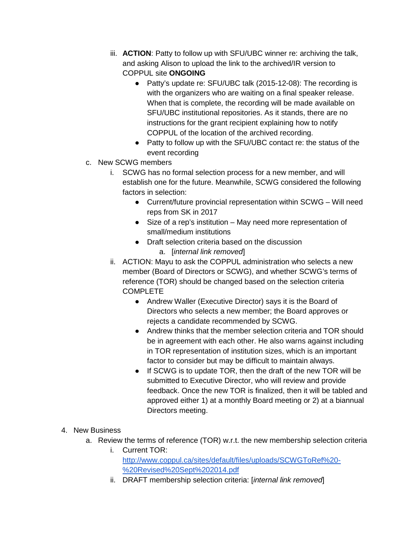- iii. **ACTION**: Patty to follow up with SFU/UBC winner re: archiving the talk, and asking Alison to upload the link to the archived/IR version to COPPUL site **ONGOING**
	- Patty's update re: SFU/UBC talk (2015-12-08): The recording is with the organizers who are waiting on a final speaker release. When that is complete, the recording will be made available on SFU/UBC institutional repositories. As it stands, there are no instructions for the grant recipient explaining how to notify COPPUL of the location of the archived recording.
	- Patty to follow up with the SFU/UBC contact re: the status of the event recording
- c. New SCWG members
	- i. SCWG has no formal selection process for a new member, and will establish one for the future. Meanwhile, SCWG considered the following factors in selection:
		- Current/future provincial representation within SCWG Will need reps from SK in 2017
		- Size of a rep's institution May need more representation of small/medium institutions
		- Draft selection criteria based on the discussion
			- a. [*internal link removed*]
	- ii. ACTION: Mayu to ask the COPPUL administration who selects a new member (Board of Directors or SCWG), and whether SCWG's terms of reference (TOR) should be changed based on the selection criteria **COMPLETE** 
		- Andrew Waller (Executive Director) says it is the Board of Directors who selects a new member; the Board approves or rejects a candidate recommended by SCWG.
		- Andrew thinks that the member selection criteria and TOR should be in agreement with each other. He also warns against including in TOR representation of institution sizes, which is an important factor to consider but may be difficult to maintain always.
		- If SCWG is to update TOR, then the draft of the new TOR will be submitted to Executive Director, who will review and provide feedback. Once the new TOR is finalized, then it will be tabled and approved either 1) at a monthly Board meeting or 2) at a biannual Directors meeting.
- 4. New Business
	- a. Review the terms of reference (TOR) w.r.t. the new membership selection criteria
		- i. Current TOR: [http://www.coppul.ca/sites/default/files/uploads/SCWGToRef%20-](http://www.coppul.ca/sites/default/files/uploads/SCWGToRef%20-%20Revised%20Sept%202014.pdf) [%20Revised%20Sept%202014.pdf](http://www.coppul.ca/sites/default/files/uploads/SCWGToRef%20-%20Revised%20Sept%202014.pdf)
		- ii. DRAFT membership selection criteria: [*internal link removed*]